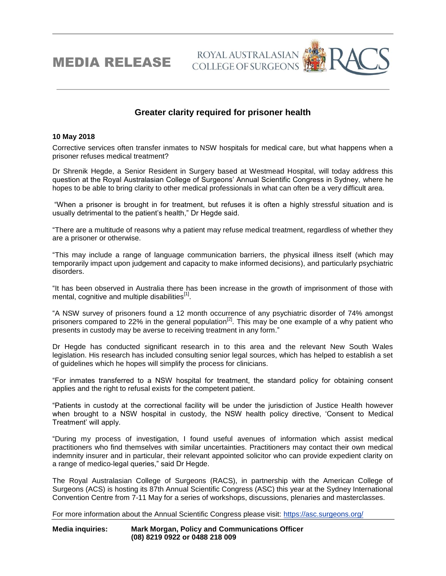MEDIA RELEASE

## **Greater clarity required for prisoner health**

ROYAL AUSTRALASIAN **COLLEGE OF SURGEONS** 

## **10 May 2018**

Corrective services often transfer inmates to NSW hospitals for medical care, but what happens when a prisoner refuses medical treatment?

Dr Shrenik Hegde, a Senior Resident in Surgery based at Westmead Hospital, will today address this question at the Royal Australasian College of Surgeons' Annual Scientific Congress in Sydney, where he hopes to be able to bring clarity to other medical professionals in what can often be a very difficult area.

"When a prisoner is brought in for treatment, but refuses it is often a highly stressful situation and is usually detrimental to the patient's health," Dr Hegde said.

"There are a multitude of reasons why a patient may refuse medical treatment, regardless of whether they are a prisoner or otherwise.

"This may include a range of language communication barriers, the physical illness itself (which may temporarily impact upon judgement and capacity to make informed decisions), and particularly psychiatric disorders.

"It has been observed in Australia there has been increase in the growth of imprisonment of those with mental, cognitive and multiple disabilities<sup>[1]</sup>.

"A NSW survey of prisoners found a 12 month occurrence of any psychiatric disorder of 74% amongst prisoners compared to 22% in the general population<sup>[2]</sup>. This may be one example of a why patient who presents in custody may be averse to receiving treatment in any form."

Dr Hegde has conducted significant research in to this area and the relevant New South Wales legislation. His research has included consulting senior legal sources, which has helped to establish a set of guidelines which he hopes will simplify the process for clinicians.

"For inmates transferred to a NSW hospital for treatment, the standard policy for obtaining consent applies and the right to refusal exists for the competent patient.

"Patients in custody at the correctional facility will be under the jurisdiction of Justice Health however when brought to a NSW hospital in custody, the NSW health policy directive, 'Consent to Medical Treatment' will apply.

"During my process of investigation, I found useful avenues of information which assist medical practitioners who find themselves with similar uncertainties. Practitioners may contact their own medical indemnity insurer and in particular, their relevant appointed solicitor who can provide expedient clarity on a range of medico-legal queries," said Dr Hegde.

The Royal Australasian College of Surgeons (RACS), in partnership with the American College of Surgeons (ACS) is hosting its 87th Annual Scientific Congress (ASC) this year at the Sydney International Convention Centre from 7-11 May for a series of workshops, discussions, plenaries and masterclasses.

For more information about the Annual Scientific Congress please visit: <https://asc.surgeons.org/>

**Media inquiries: Mark Morgan, Policy and Communications Officer (08) 8219 0922 or 0488 218 009**